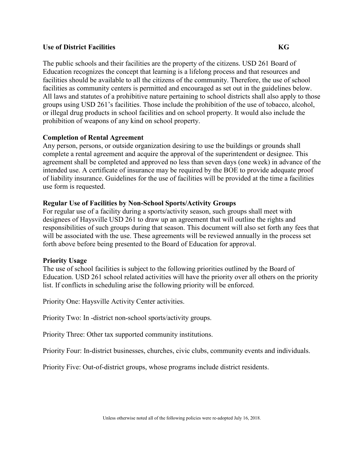The public schools and their facilities are the property of the citizens. USD 261 Board of Education recognizes the concept that learning is a lifelong process and that resources and facilities should be available to all the citizens of the community. Therefore, the use of school facilities as community centers is permitted and encouraged as set out in the guidelines below. All laws and statutes of a prohibitive nature pertaining to school districts shall also apply to those groups using USD 261's facilities. Those include the prohibition of the use of tobacco, alcohol, or illegal drug products in school facilities and on school property. It would also include the prohibition of weapons of any kind on school property.

## **Completion of Rental Agreement**

Any person, persons, or outside organization desiring to use the buildings or grounds shall complete a rental agreement and acquire the approval of the superintendent or designee. This agreement shall be completed and approved no less than seven days (one week) in advance of the intended use. A certificate of insurance may be required by the BOE to provide adequate proof of liability insurance. Guidelines for the use of facilities will be provided at the time a facilities use form is requested.

## **Regular Use of Facilities by Non-School Sports/Activity Groups**

For regular use of a facility during a sports/activity season, such groups shall meet with designees of Haysville USD 261 to draw up an agreement that will outline the rights and responsibilities of such groups during that season. This document will also set forth any fees that will be associated with the use. These agreements will be reviewed annually in the process set forth above before being presented to the Board of Education for approval.

### **Priority Usage**

The use of school facilities is subject to the following priorities outlined by the Board of Education. USD 261 school related activities will have the priority over all others on the priority list. If conflicts in scheduling arise the following priority will be enforced.

Priority One: Haysville Activity Center activities.

Priority Two: In -district non-school sports/activity groups.

Priority Three: Other tax supported community institutions.

Priority Four: In-district businesses, churches, civic clubs, community events and individuals.

Priority Five: Out-of-district groups, whose programs include district residents.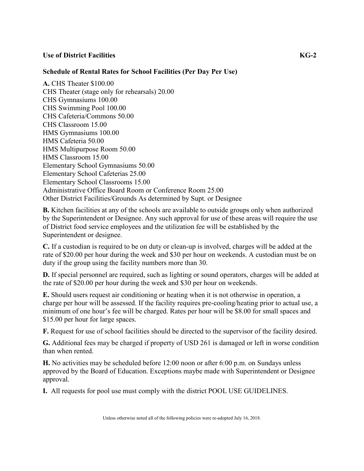## **Schedule of Rental Rates for School Facilities (Per Day Per Use)**

**A.** CHS Theater \$100.00 CHS Theater (stage only for rehearsals) 20.00 CHS Gymnasiums 100.00 CHS Swimming Pool 100.00 CHS Cafeteria/Commons 50.00 CHS Classroom 15.00 HMS Gymnasiums 100.00 HMS Cafeteria 50.00 HMS Multipurpose Room 50.00 HMS Classroom 15.00 Elementary School Gymnasiums 50.00 Elementary School Cafeterias 25.00 Elementary School Classrooms 15.00 Administrative Office Board Room or Conference Room 25.00 Other District Facilities/Grounds As determined by Supt. or Designee

**B.** Kitchen facilities at any of the schools are available to outside groups only when authorized by the Superintendent or Designee. Any such approval for use of these areas will require the use of District food service employees and the utilization fee will be established by the Superintendent or designee.

**C.** If a custodian is required to be on duty or clean-up is involved, charges will be added at the rate of \$20.00 per hour during the week and \$30 per hour on weekends. A custodian must be on duty if the group using the facility numbers more than 30.

**D.** If special personnel are required, such as lighting or sound operators, charges will be added at the rate of \$20.00 per hour during the week and \$30 per hour on weekends.

**E.** Should users request air conditioning or heating when it is not otherwise in operation, a charge per hour will be assessed. If the facility requires pre-cooling/heating prior to actual use, a minimum of one hour's fee will be charged. Rates per hour will be \$8.00 for small spaces and \$15.00 per hour for large spaces.

**F.** Request for use of school facilities should be directed to the supervisor of the facility desired.

**G.** Additional fees may be charged if property of USD 261 is damaged or left in worse condition than when rented.

**H.** No activities may be scheduled before 12:00 noon or after 6:00 p.m. on Sundays unless approved by the Board of Education. Exceptions maybe made with Superintendent or Designee approval.

**I.** All requests for pool use must comply with the district POOL USE GUIDELINES.

Unless otherwise noted all of the following policies were re-adopted July 16, 2018.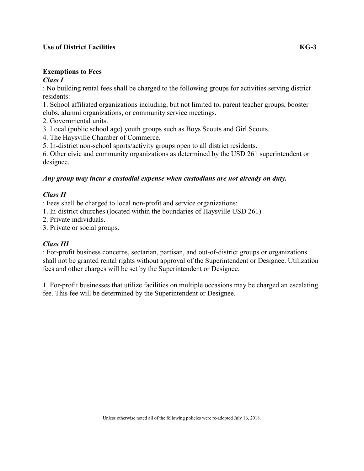#### **Exemptions to Fees**  *Class I*

: No building rental fees shall be charged to the following groups for activities serving district residents:

1. School affiliated organizations including, but not limited to, parent teacher groups, booster clubs, alumni organizations, or community service meetings.

2. Governmental units.

3. Local (public school age) youth groups such as Boys Scouts and Girl Scouts.

4. The Haysville Chamber of Commerce.

5. In-district non-school sports/activity groups open to all district residents.

6. Other civic and community organizations as determined by the USD 261 superintendent or designee.

# *Any group may incur a custodial expense when custodians are not already on duty.*

# *Class II*

: Fees shall be charged to local non-profit and service organizations:

- 1. In-district churches (located within the boundaries of Haysville USD 261).
- 2. Private individuals.

3. Private or social groups.

# *Class III*

: For-profit business concerns, sectarian, partisan, and out-of-district groups or organizations shall not be granted rental rights without approval of the Superintendent or Designee. Utilization fees and other charges will be set by the Superintendent or Designee.

1. For-profit businesses that utilize facilities on multiple occasions may be charged an escalating fee. This fee will be determined by the Superintendent or Designee.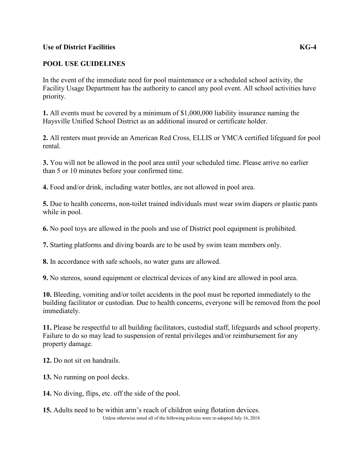# **POOL USE GUIDELINES**

In the event of the immediate need for pool maintenance or a scheduled school activity, the Facility Usage Department has the authority to cancel any pool event. All school activities have priority.

**1.** All events must be covered by a minimum of \$1,000,000 liability insurance naming the Haysville Unified School District as an additional insured or certificate holder.

**2.** All renters must provide an American Red Cross, ELLIS or YMCA certified lifeguard for pool rental.

**3.** You will not be allowed in the pool area until your scheduled time. Please arrive no earlier than 5 or 10 minutes before your confirmed time.

**4.** Food and/or drink, including water bottles, are not allowed in pool area.

**5.** Due to health concerns, non-toilet trained individuals must wear swim diapers or plastic pants while in pool.

**6.** No pool toys are allowed in the pools and use of District pool equipment is prohibited.

**7.** Starting platforms and diving boards are to be used by swim team members only.

**8.** In accordance with safe schools, no water guns are allowed.

**9.** No stereos, sound equipment or electrical devices of any kind are allowed in pool area.

**10.** Bleeding, vomiting and/or toilet accidents in the pool must be reported immediately to the building facilitator or custodian. Due to health concerns, everyone will be removed from the pool immediately.

**11.** Please be respectful to all building facilitators, custodial staff, lifeguards and school property. Failure to do so may lead to suspension of rental privileges and/or reimbursement for any property damage.

**12.** Do not sit on handrails.

**13.** No running on pool decks.

**14.** No diving, flips, etc. off the side of the pool.

Unless otherwise noted all of the following policies were re-adopted July 16, 2018. **15.** Adults need to be within arm's reach of children using flotation devices.